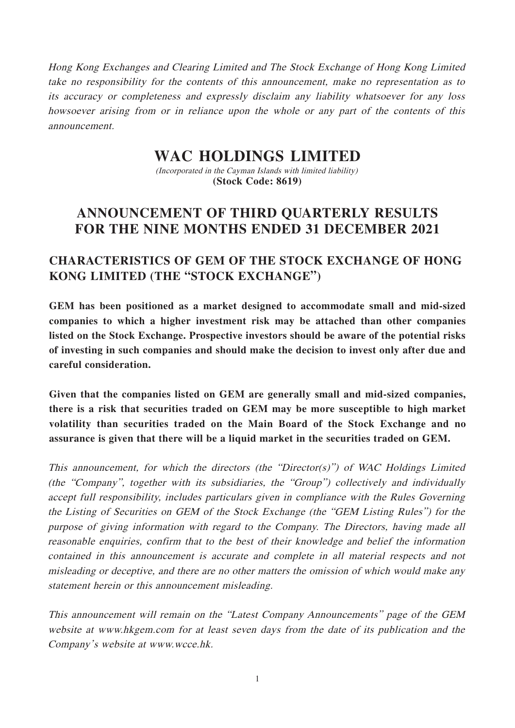Hong Kong Exchanges and Clearing Limited and The Stock Exchange of Hong Kong Limited take no responsibility for the contents of this announcement, make no representation as to its accuracy or completeness and expressly disclaim any liability whatsoever for any loss howsoever arising from or in reliance upon the whole or any part of the contents of this announcement.

# **WAC HOLDINGS LIMITED**

(Incorporated in the Cayman Islands with limited liability) **(Stock Code: 8619)**

# **ANNOUNCEMENT OF THIRD QUARTERLY RESULTS FOR THE NINE MONTHS ENDED 31 DECEMBER 2021**

# **CHARACTERISTICS OF GEM OF THE STOCK EXCHANGE OF HONG KONG LIMITED (THE "STOCK EXCHANGE")**

**GEM has been positioned as a market designed to accommodate small and mid-sized companies to which a higher investment risk may be attached than other companies listed on the Stock Exchange. Prospective investors should be aware of the potential risks of investing in such companies and should make the decision to invest only after due and careful consideration.**

**Given that the companies listed on GEM are generally small and mid-sized companies, there is a risk that securities traded on GEM may be more susceptible to high market volatility than securities traded on the Main Board of the Stock Exchange and no assurance is given that there will be a liquid market in the securities traded on GEM.**

This announcement, for which the directors (the "Director(s)") of WAC Holdings Limited (the "Company", together with its subsidiaries, the "Group") collectively and individually accept full responsibility, includes particulars given in compliance with the Rules Governing the Listing of Securities on GEM of the Stock Exchange (the "GEM Listing Rules") for the purpose of giving information with regard to the Company. The Directors, having made all reasonable enquiries, confirm that to the best of their knowledge and belief the information contained in this announcement is accurate and complete in all material respects and not misleading or deceptive, and there are no other matters the omission of which would make any statement herein or this announcement misleading.

This announcement will remain on the "Latest Company Announcements" page of the GEM website at www.hkgem.com for at least seven days from the date of its publication and the Company's website at www.wcce.hk.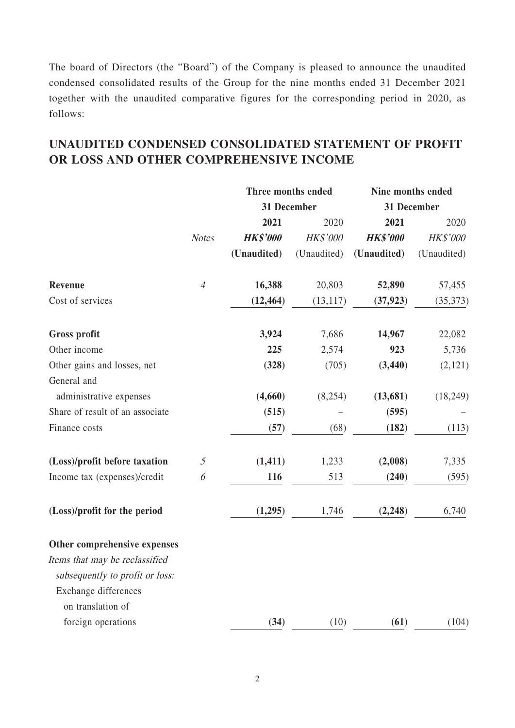The board of Directors (the "Board") of the Company is pleased to announce the unaudited condensed consolidated results of the Group for the nine months ended 31 December 2021 together with the unaudited comparative figures for the corresponding period in 2020, as follows:

## **UNAUDITED CONDENSED CONSOLIDATED STATEMENT OF PROFIT OR LOSS AND OTHER COMPREHENSIVE INCOME**

|                                        |                | Three months ended |             | Nine months ended |             |
|----------------------------------------|----------------|--------------------|-------------|-------------------|-------------|
|                                        |                | 31 December        |             | 31 December       |             |
|                                        |                | 2021               | 2020        | 2021              | 2020        |
|                                        | <b>Notes</b>   | <b>HK\$'000</b>    | HK\$'000    | <b>HK\$'000</b>   | HK\$'000    |
|                                        |                | (Unaudited)        | (Unaudited) | (Unaudited)       | (Unaudited) |
| Revenue                                | $\overline{4}$ | 16,388             | 20,803      | 52,890            | 57,455      |
| Cost of services                       |                | (12, 464)          | (13, 117)   | (37, 923)         | (35,373)    |
| <b>Gross profit</b>                    |                | 3,924              | 7,686       | 14,967            | 22,082      |
| Other income                           |                | 225                | 2,574       | 923               | 5,736       |
| Other gains and losses, net            |                | (328)              | (705)       | (3, 440)          | (2,121)     |
| General and<br>administrative expenses |                | (4,660)            | (8, 254)    | (13, 681)         | (18, 249)   |
| Share of result of an associate        |                | (515)              |             | (595)             |             |
| Finance costs                          |                | (57)               | (68)        | (182)             | (113)       |
| (Loss)/profit before taxation          | $\mathfrak{I}$ | (1, 411)           | 1,233       | (2,008)           | 7,335       |
| Income tax (expenses)/credit           | 6              | 116                | 513         | (240)             | (595)       |
| (Loss)/profit for the period           |                | (1,295)            | 1,746       | (2, 248)          | 6,740       |
| Other comprehensive expenses           |                |                    |             |                   |             |
| Items that may be reclassified         |                |                    |             |                   |             |
| subsequently to profit or loss:        |                |                    |             |                   |             |
| Exchange differences                   |                |                    |             |                   |             |
| on translation of                      |                |                    |             |                   |             |
| foreign operations                     |                | (34)               | (10)        | (61)              | (104)       |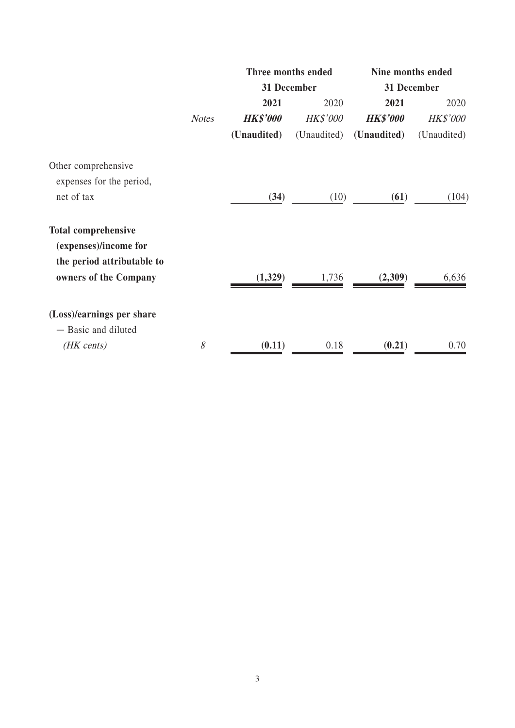|                                                     |              | Three months ended |                 | Nine months ended |                 |
|-----------------------------------------------------|--------------|--------------------|-----------------|-------------------|-----------------|
|                                                     |              |                    | 31 December     | 31 December       |                 |
|                                                     |              | 2021               | 2020            | 2021              | 2020            |
|                                                     | <b>Notes</b> | <b>HK\$'000</b>    | <b>HK\$'000</b> | <b>HK\$'000</b>   | <b>HK\$'000</b> |
|                                                     |              | (Unaudited)        | (Unaudited)     | (Unaudited)       | (Unaudited)     |
| Other comprehensive                                 |              |                    |                 |                   |                 |
| expenses for the period,                            |              |                    |                 |                   |                 |
| net of tax                                          |              | (34)               | (10)            | (61)              | (104)           |
| <b>Total comprehensive</b><br>(expenses)/income for |              |                    |                 |                   |                 |
| the period attributable to<br>owners of the Company |              | (1,329)            | 1,736           | (2,309)           | 6,636           |
| (Loss)/earnings per share                           |              |                    |                 |                   |                 |
| - Basic and diluted                                 |              |                    |                 |                   |                 |
| (HK cents)                                          | 8            | (0.11)             | 0.18            | (0.21)            | 0.70            |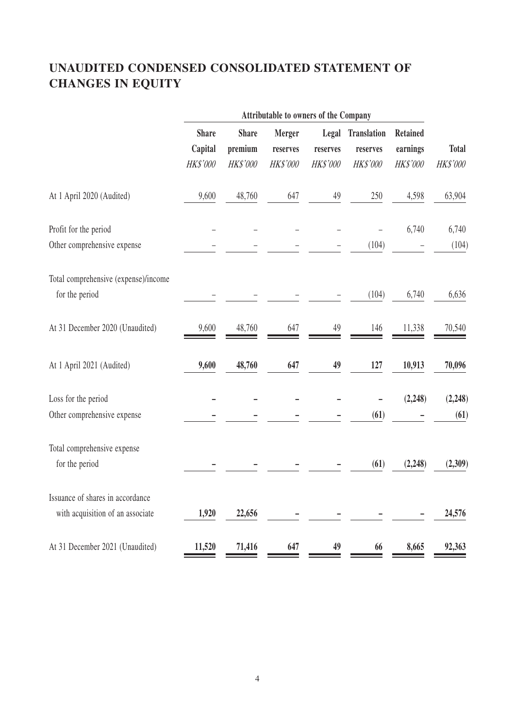# **UNAUDITED CONDENSED CONSOLIDATED STATEMENT OF CHANGES IN EQUITY**

|                                      |              |              | Attributable to owners of the Company |                 |                    |                 |              |
|--------------------------------------|--------------|--------------|---------------------------------------|-----------------|--------------------|-----------------|--------------|
|                                      | <b>Share</b> | <b>Share</b> | Merger                                | Legal           | <b>Translation</b> | <b>Retained</b> |              |
|                                      | Capital      | premium      | reserves                              | reserves        | reserves           | earnings        | <b>Total</b> |
|                                      | HK\$'000     | HK\$'000     | HK\$'000                              | <b>HK\$'000</b> | HK\$'000           | HK\$'000        | HK\$'000     |
| At 1 April 2020 (Audited)            | 9,600        | 48,760       | 647                                   | 49              | 250                | 4,598           | 63,904       |
| Profit for the period                |              |              |                                       |                 |                    | 6,740           | 6,740        |
| Other comprehensive expense          |              |              |                                       |                 | (104)              |                 | (104)        |
| Total comprehensive (expense)/income |              |              |                                       |                 |                    |                 |              |
| for the period                       |              |              |                                       |                 | (104)              | 6,740           | 6,636        |
| At 31 December 2020 (Unaudited)      | 9,600        | 48,760       | 647                                   | 49              | 146                | 11,338          | 70,540       |
| At 1 April 2021 (Audited)            | 9,600        | 48,760       | 647                                   | 49              | 127                | 10,913          | 70,096       |
| Loss for the period                  |              |              |                                       |                 |                    | (2,248)         | (2,248)      |
| Other comprehensive expense          |              |              |                                       |                 | (61)               |                 | (61)         |
| Total comprehensive expense          |              |              |                                       |                 |                    |                 |              |
| for the period                       |              |              |                                       |                 | (61)               | (2, 248)        | (2,309)      |
| Issuance of shares in accordance     |              |              |                                       |                 |                    |                 |              |
| with acquisition of an associate     | 1,920        | 22,656       |                                       |                 |                    |                 | 24,576       |
| At 31 December 2021 (Unaudited)      | 11,520       | 71,416       | 647                                   | 49              | 66                 | 8,665           | 92,363       |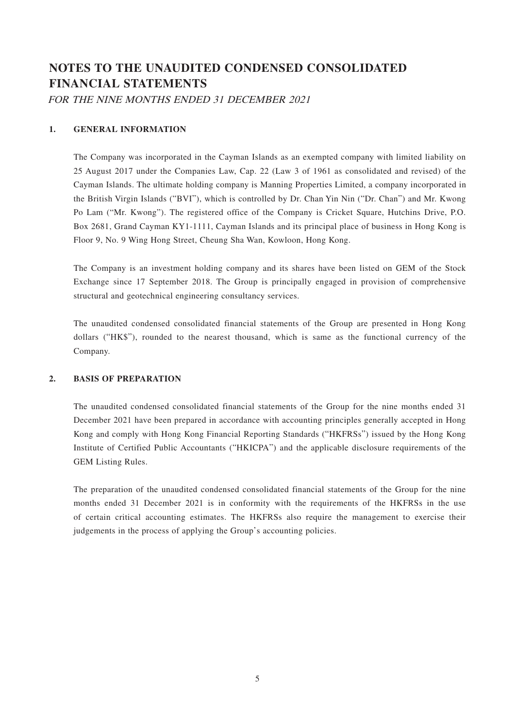# **NOTES TO THE UNAUDITED CONDENSED CONSOLIDATED FINANCIAL STATEMENTS**

FOR THE NINE MONTHS ENDED 31 DECEMBER 2021

### **1. GENERAL INFORMATION**

The Company was incorporated in the Cayman Islands as an exempted company with limited liability on 25 August 2017 under the Companies Law, Cap. 22 (Law 3 of 1961 as consolidated and revised) of the Cayman Islands. The ultimate holding company is Manning Properties Limited, a company incorporated in the British Virgin Islands ("BVI"), which is controlled by Dr. Chan Yin Nin ("Dr. Chan") and Mr. Kwong Po Lam ("Mr. Kwong"). The registered office of the Company is Cricket Square, Hutchins Drive, P.O. Box 2681, Grand Cayman KY1-1111, Cayman Islands and its principal place of business in Hong Kong is Floor 9, No. 9 Wing Hong Street, Cheung Sha Wan, Kowloon, Hong Kong.

The Company is an investment holding company and its shares have been listed on GEM of the Stock Exchange since 17 September 2018. The Group is principally engaged in provision of comprehensive structural and geotechnical engineering consultancy services.

The unaudited condensed consolidated financial statements of the Group are presented in Hong Kong dollars ("HK\$"), rounded to the nearest thousand, which is same as the functional currency of the Company.

#### **2. BASIS OF PREPARATION**

The unaudited condensed consolidated financial statements of the Group for the nine months ended 31 December 2021 have been prepared in accordance with accounting principles generally accepted in Hong Kong and comply with Hong Kong Financial Reporting Standards ("HKFRSs") issued by the Hong Kong Institute of Certified Public Accountants ("HKICPA") and the applicable disclosure requirements of the GEM Listing Rules.

The preparation of the unaudited condensed consolidated financial statements of the Group for the nine months ended 31 December 2021 is in conformity with the requirements of the HKFRSs in the use of certain critical accounting estimates. The HKFRSs also require the management to exercise their judgements in the process of applying the Group's accounting policies.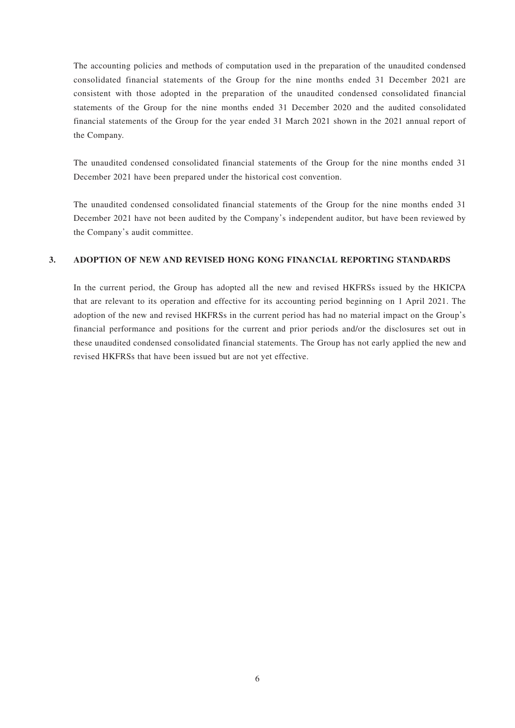The accounting policies and methods of computation used in the preparation of the unaudited condensed consolidated financial statements of the Group for the nine months ended 31 December 2021 are consistent with those adopted in the preparation of the unaudited condensed consolidated financial statements of the Group for the nine months ended 31 December 2020 and the audited consolidated financial statements of the Group for the year ended 31 March 2021 shown in the 2021 annual report of the Company.

The unaudited condensed consolidated financial statements of the Group for the nine months ended 31 December 2021 have been prepared under the historical cost convention.

The unaudited condensed consolidated financial statements of the Group for the nine months ended 31 December 2021 have not been audited by the Company's independent auditor, but have been reviewed by the Company's audit committee.

#### **3. ADOPTION OF NEW AND REVISED HONG KONG FINANCIAL REPORTING STANDARDS**

In the current period, the Group has adopted all the new and revised HKFRSs issued by the HKICPA that are relevant to its operation and effective for its accounting period beginning on 1 April 2021. The adoption of the new and revised HKFRSs in the current period has had no material impact on the Group's financial performance and positions for the current and prior periods and/or the disclosures set out in these unaudited condensed consolidated financial statements. The Group has not early applied the new and revised HKFRSs that have been issued but are not yet effective.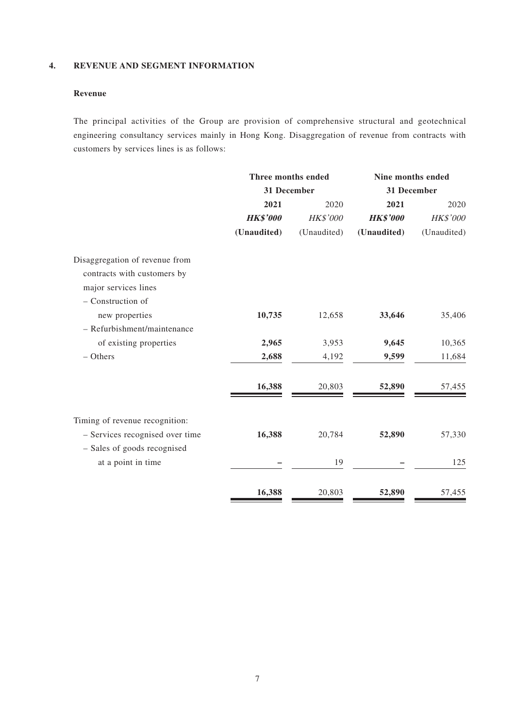#### **4. REVENUE AND SEGMENT INFORMATION**

### **Revenue**

The principal activities of the Group are provision of comprehensive structural and geotechnical engineering consultancy services mainly in Hong Kong. Disaggregation of revenue from contracts with customers by services lines is as follows:

|                                                                                                            | Three months ended |             | Nine months ended |             |  |
|------------------------------------------------------------------------------------------------------------|--------------------|-------------|-------------------|-------------|--|
|                                                                                                            | 31 December        |             | 31 December       |             |  |
|                                                                                                            | 2021               | 2020        | 2021              | 2020        |  |
|                                                                                                            | <b>HK\$'000</b>    | HK\$'000    | <b>HK\$'000</b>   | HK\$'000    |  |
|                                                                                                            | (Unaudited)        | (Unaudited) | (Unaudited)       | (Unaudited) |  |
| Disaggregation of revenue from<br>contracts with customers by<br>major services lines<br>- Construction of |                    |             |                   |             |  |
| new properties                                                                                             | 10,735             | 12,658      | 33,646            | 35,406      |  |
| - Refurbishment/maintenance                                                                                |                    |             |                   |             |  |
| of existing properties                                                                                     | 2,965              | 3,953       | 9,645             | 10,365      |  |
| $-$ Others                                                                                                 | 2,688              | 4,192       | 9,599             | 11,684      |  |
|                                                                                                            | 16,388             | 20,803      | 52,890            | 57,455      |  |
| Timing of revenue recognition:<br>- Services recognised over time                                          | 16,388             | 20,784      | 52,890            | 57,330      |  |
| - Sales of goods recognised                                                                                |                    |             |                   |             |  |
| at a point in time                                                                                         |                    | 19          |                   | 125         |  |
|                                                                                                            | 16,388             | 20,803      | 52,890            | 57,455      |  |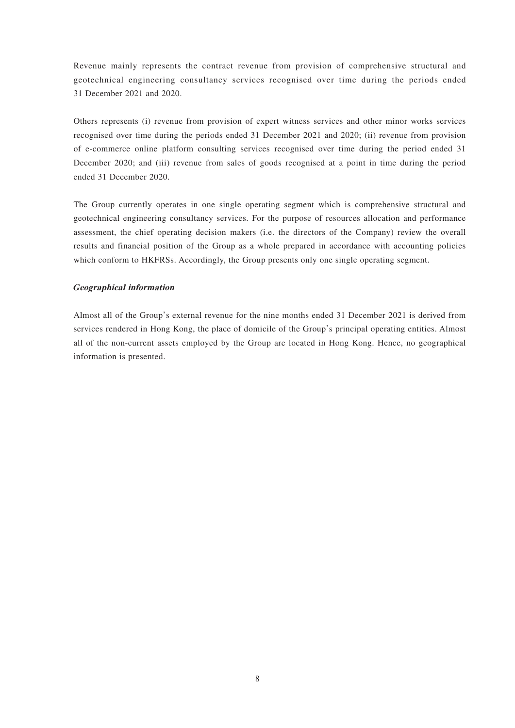Revenue mainly represents the contract revenue from provision of comprehensive structural and geotechnical engineering consultancy services recognised over time during the periods ended 31 December 2021 and 2020.

Others represents (i) revenue from provision of expert witness services and other minor works services recognised over time during the periods ended 31 December 2021 and 2020; (ii) revenue from provision of e-commerce online platform consulting services recognised over time during the period ended 31 December 2020; and (iii) revenue from sales of goods recognised at a point in time during the period ended 31 December 2020.

The Group currently operates in one single operating segment which is comprehensive structural and geotechnical engineering consultancy services. For the purpose of resources allocation and performance assessment, the chief operating decision makers (i.e. the directors of the Company) review the overall results and financial position of the Group as a whole prepared in accordance with accounting policies which conform to HKFRSs. Accordingly, the Group presents only one single operating segment.

#### **Geographical information**

Almost all of the Group's external revenue for the nine months ended 31 December 2021 is derived from services rendered in Hong Kong, the place of domicile of the Group's principal operating entities. Almost all of the non-current assets employed by the Group are located in Hong Kong. Hence, no geographical information is presented.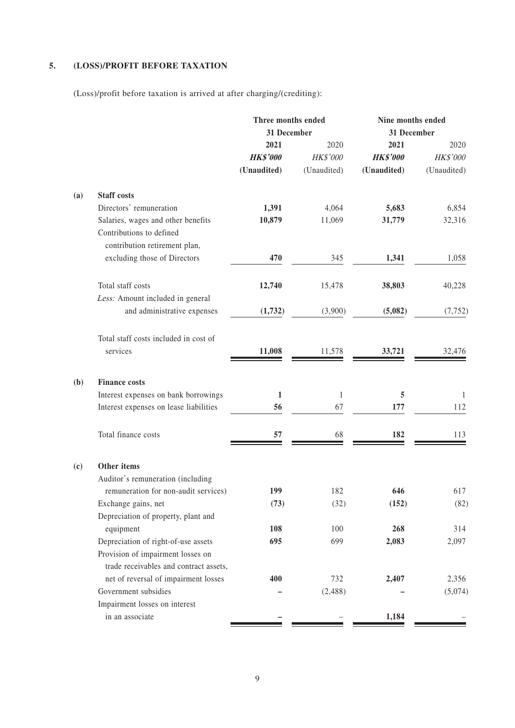### **5. (LOSS)/PROFIT BEFORE TAXATION**

(Loss)/profit before taxation is arrived at after charging/(crediting):

| 31 December<br>31 December<br>2021<br>2021<br>2020<br>2020<br><b>HK\$'000</b><br>HK\$'000<br><b>HK\$'000</b><br>HK\$'000<br>(Unaudited)<br>(Unaudited)<br>(Unaudited)<br>(Unaudited)<br><b>Staff costs</b><br>Directors' remuneration<br>6,854<br>1,391<br>4,064<br>5,683<br>Salaries, wages and other benefits<br>31,779<br>32,316<br>10,879<br>11,069<br>Contributions to defined<br>contribution retirement plan,<br>excluding those of Directors<br>470<br>345<br>1,341<br>1,058<br>Total staff costs<br>38,803<br>12,740<br>15,478<br>40,228<br>Less: Amount included in general<br>and administrative expenses<br>(5,082)<br>(1,732)<br>(3,900)<br>(7, 752)<br>Total staff costs included in cost of<br>services<br>11,008<br>11,578<br>33,721<br>32,476<br>(b)<br><b>Finance costs</b><br>Interest expenses on bank borrowings<br>$\mathbf{1}$<br>5<br>$\mathbf{1}$<br>$\mathbf{1}$<br>Interest expenses on lease liabilities<br>56<br>67<br>177<br>112<br>Total finance costs<br>182<br>57<br>68<br>113<br>Other items<br>(c)<br>Auditor's remuneration (including<br>remuneration for non-audit services)<br>182<br>646<br>617<br>199<br>Exchange gains, net<br>(73)<br>(32)<br>(82)<br>(152)<br>Depreciation of property, plant and<br>108<br>equipment<br>100<br>268<br>314<br>Depreciation of right-of-use assets<br>695<br>699<br>2,083<br>2,097<br>Provision of impairment losses on<br>trade receivables and contract assets,<br>net of reversal of impairment losses<br>400<br>732<br>2,407<br>2,356<br>Government subsidies<br>(2, 488)<br>(5,074)<br>Impairment losses on interest<br>in an associate<br>1,184 |     | Three months ended |  | Nine months ended |  |  |
|----------------------------------------------------------------------------------------------------------------------------------------------------------------------------------------------------------------------------------------------------------------------------------------------------------------------------------------------------------------------------------------------------------------------------------------------------------------------------------------------------------------------------------------------------------------------------------------------------------------------------------------------------------------------------------------------------------------------------------------------------------------------------------------------------------------------------------------------------------------------------------------------------------------------------------------------------------------------------------------------------------------------------------------------------------------------------------------------------------------------------------------------------------------------------------------------------------------------------------------------------------------------------------------------------------------------------------------------------------------------------------------------------------------------------------------------------------------------------------------------------------------------------------------------------------------------------------------------------------------------------------|-----|--------------------|--|-------------------|--|--|
|                                                                                                                                                                                                                                                                                                                                                                                                                                                                                                                                                                                                                                                                                                                                                                                                                                                                                                                                                                                                                                                                                                                                                                                                                                                                                                                                                                                                                                                                                                                                                                                                                                  |     |                    |  |                   |  |  |
|                                                                                                                                                                                                                                                                                                                                                                                                                                                                                                                                                                                                                                                                                                                                                                                                                                                                                                                                                                                                                                                                                                                                                                                                                                                                                                                                                                                                                                                                                                                                                                                                                                  |     |                    |  |                   |  |  |
|                                                                                                                                                                                                                                                                                                                                                                                                                                                                                                                                                                                                                                                                                                                                                                                                                                                                                                                                                                                                                                                                                                                                                                                                                                                                                                                                                                                                                                                                                                                                                                                                                                  |     |                    |  |                   |  |  |
|                                                                                                                                                                                                                                                                                                                                                                                                                                                                                                                                                                                                                                                                                                                                                                                                                                                                                                                                                                                                                                                                                                                                                                                                                                                                                                                                                                                                                                                                                                                                                                                                                                  |     |                    |  |                   |  |  |
|                                                                                                                                                                                                                                                                                                                                                                                                                                                                                                                                                                                                                                                                                                                                                                                                                                                                                                                                                                                                                                                                                                                                                                                                                                                                                                                                                                                                                                                                                                                                                                                                                                  | (a) |                    |  |                   |  |  |
|                                                                                                                                                                                                                                                                                                                                                                                                                                                                                                                                                                                                                                                                                                                                                                                                                                                                                                                                                                                                                                                                                                                                                                                                                                                                                                                                                                                                                                                                                                                                                                                                                                  |     |                    |  |                   |  |  |
|                                                                                                                                                                                                                                                                                                                                                                                                                                                                                                                                                                                                                                                                                                                                                                                                                                                                                                                                                                                                                                                                                                                                                                                                                                                                                                                                                                                                                                                                                                                                                                                                                                  |     |                    |  |                   |  |  |
|                                                                                                                                                                                                                                                                                                                                                                                                                                                                                                                                                                                                                                                                                                                                                                                                                                                                                                                                                                                                                                                                                                                                                                                                                                                                                                                                                                                                                                                                                                                                                                                                                                  |     |                    |  |                   |  |  |
|                                                                                                                                                                                                                                                                                                                                                                                                                                                                                                                                                                                                                                                                                                                                                                                                                                                                                                                                                                                                                                                                                                                                                                                                                                                                                                                                                                                                                                                                                                                                                                                                                                  |     |                    |  |                   |  |  |
|                                                                                                                                                                                                                                                                                                                                                                                                                                                                                                                                                                                                                                                                                                                                                                                                                                                                                                                                                                                                                                                                                                                                                                                                                                                                                                                                                                                                                                                                                                                                                                                                                                  |     |                    |  |                   |  |  |
|                                                                                                                                                                                                                                                                                                                                                                                                                                                                                                                                                                                                                                                                                                                                                                                                                                                                                                                                                                                                                                                                                                                                                                                                                                                                                                                                                                                                                                                                                                                                                                                                                                  |     |                    |  |                   |  |  |
|                                                                                                                                                                                                                                                                                                                                                                                                                                                                                                                                                                                                                                                                                                                                                                                                                                                                                                                                                                                                                                                                                                                                                                                                                                                                                                                                                                                                                                                                                                                                                                                                                                  |     |                    |  |                   |  |  |
|                                                                                                                                                                                                                                                                                                                                                                                                                                                                                                                                                                                                                                                                                                                                                                                                                                                                                                                                                                                                                                                                                                                                                                                                                                                                                                                                                                                                                                                                                                                                                                                                                                  |     |                    |  |                   |  |  |
|                                                                                                                                                                                                                                                                                                                                                                                                                                                                                                                                                                                                                                                                                                                                                                                                                                                                                                                                                                                                                                                                                                                                                                                                                                                                                                                                                                                                                                                                                                                                                                                                                                  |     |                    |  |                   |  |  |
|                                                                                                                                                                                                                                                                                                                                                                                                                                                                                                                                                                                                                                                                                                                                                                                                                                                                                                                                                                                                                                                                                                                                                                                                                                                                                                                                                                                                                                                                                                                                                                                                                                  |     |                    |  |                   |  |  |
|                                                                                                                                                                                                                                                                                                                                                                                                                                                                                                                                                                                                                                                                                                                                                                                                                                                                                                                                                                                                                                                                                                                                                                                                                                                                                                                                                                                                                                                                                                                                                                                                                                  |     |                    |  |                   |  |  |
|                                                                                                                                                                                                                                                                                                                                                                                                                                                                                                                                                                                                                                                                                                                                                                                                                                                                                                                                                                                                                                                                                                                                                                                                                                                                                                                                                                                                                                                                                                                                                                                                                                  |     |                    |  |                   |  |  |
|                                                                                                                                                                                                                                                                                                                                                                                                                                                                                                                                                                                                                                                                                                                                                                                                                                                                                                                                                                                                                                                                                                                                                                                                                                                                                                                                                                                                                                                                                                                                                                                                                                  |     |                    |  |                   |  |  |
|                                                                                                                                                                                                                                                                                                                                                                                                                                                                                                                                                                                                                                                                                                                                                                                                                                                                                                                                                                                                                                                                                                                                                                                                                                                                                                                                                                                                                                                                                                                                                                                                                                  |     |                    |  |                   |  |  |
|                                                                                                                                                                                                                                                                                                                                                                                                                                                                                                                                                                                                                                                                                                                                                                                                                                                                                                                                                                                                                                                                                                                                                                                                                                                                                                                                                                                                                                                                                                                                                                                                                                  |     |                    |  |                   |  |  |
|                                                                                                                                                                                                                                                                                                                                                                                                                                                                                                                                                                                                                                                                                                                                                                                                                                                                                                                                                                                                                                                                                                                                                                                                                                                                                                                                                                                                                                                                                                                                                                                                                                  |     |                    |  |                   |  |  |
|                                                                                                                                                                                                                                                                                                                                                                                                                                                                                                                                                                                                                                                                                                                                                                                                                                                                                                                                                                                                                                                                                                                                                                                                                                                                                                                                                                                                                                                                                                                                                                                                                                  |     |                    |  |                   |  |  |
|                                                                                                                                                                                                                                                                                                                                                                                                                                                                                                                                                                                                                                                                                                                                                                                                                                                                                                                                                                                                                                                                                                                                                                                                                                                                                                                                                                                                                                                                                                                                                                                                                                  |     |                    |  |                   |  |  |
|                                                                                                                                                                                                                                                                                                                                                                                                                                                                                                                                                                                                                                                                                                                                                                                                                                                                                                                                                                                                                                                                                                                                                                                                                                                                                                                                                                                                                                                                                                                                                                                                                                  |     |                    |  |                   |  |  |
|                                                                                                                                                                                                                                                                                                                                                                                                                                                                                                                                                                                                                                                                                                                                                                                                                                                                                                                                                                                                                                                                                                                                                                                                                                                                                                                                                                                                                                                                                                                                                                                                                                  |     |                    |  |                   |  |  |
|                                                                                                                                                                                                                                                                                                                                                                                                                                                                                                                                                                                                                                                                                                                                                                                                                                                                                                                                                                                                                                                                                                                                                                                                                                                                                                                                                                                                                                                                                                                                                                                                                                  |     |                    |  |                   |  |  |
|                                                                                                                                                                                                                                                                                                                                                                                                                                                                                                                                                                                                                                                                                                                                                                                                                                                                                                                                                                                                                                                                                                                                                                                                                                                                                                                                                                                                                                                                                                                                                                                                                                  |     |                    |  |                   |  |  |
|                                                                                                                                                                                                                                                                                                                                                                                                                                                                                                                                                                                                                                                                                                                                                                                                                                                                                                                                                                                                                                                                                                                                                                                                                                                                                                                                                                                                                                                                                                                                                                                                                                  |     |                    |  |                   |  |  |
|                                                                                                                                                                                                                                                                                                                                                                                                                                                                                                                                                                                                                                                                                                                                                                                                                                                                                                                                                                                                                                                                                                                                                                                                                                                                                                                                                                                                                                                                                                                                                                                                                                  |     |                    |  |                   |  |  |
|                                                                                                                                                                                                                                                                                                                                                                                                                                                                                                                                                                                                                                                                                                                                                                                                                                                                                                                                                                                                                                                                                                                                                                                                                                                                                                                                                                                                                                                                                                                                                                                                                                  |     |                    |  |                   |  |  |
|                                                                                                                                                                                                                                                                                                                                                                                                                                                                                                                                                                                                                                                                                                                                                                                                                                                                                                                                                                                                                                                                                                                                                                                                                                                                                                                                                                                                                                                                                                                                                                                                                                  |     |                    |  |                   |  |  |
|                                                                                                                                                                                                                                                                                                                                                                                                                                                                                                                                                                                                                                                                                                                                                                                                                                                                                                                                                                                                                                                                                                                                                                                                                                                                                                                                                                                                                                                                                                                                                                                                                                  |     |                    |  |                   |  |  |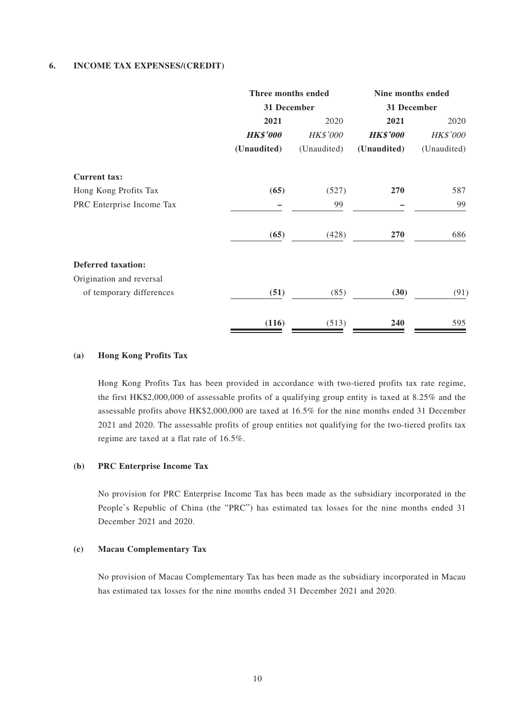#### **6. INCOME TAX EXPENSES/(CREDIT)**

|                           | Three months ended |             | Nine months ended |                 |
|---------------------------|--------------------|-------------|-------------------|-----------------|
|                           | 31 December        |             | 31 December       |                 |
|                           | 2021<br>2020       |             | 2021              | 2020            |
|                           | <b>HK\$'000</b>    | HK\$'000    | <b>HK\$'000</b>   | <b>HK\$'000</b> |
|                           | (Unaudited)        | (Unaudited) | (Unaudited)       | (Unaudited)     |
| <b>Current tax:</b>       |                    |             |                   |                 |
| Hong Kong Profits Tax     | (65)               | (527)       | 270               | 587             |
| PRC Enterprise Income Tax |                    | 99          |                   | 99              |
|                           | (65)               | (428)       | 270               | 686             |
| <b>Deferred taxation:</b> |                    |             |                   |                 |
| Origination and reversal  |                    |             |                   |                 |
| of temporary differences  | (51)               | (85)        | (30)              | (91)            |
|                           | (116)              | (513)       | 240               | 595             |

#### **(a) Hong Kong Profits Tax**

Hong Kong Profits Tax has been provided in accordance with two-tiered profits tax rate regime, the first HK\$2,000,000 of assessable profits of a qualifying group entity is taxed at 8.25% and the assessable profits above HK\$2,000,000 are taxed at 16.5% for the nine months ended 31 December 2021 and 2020. The assessable profits of group entities not qualifying for the two-tiered profits tax regime are taxed at a flat rate of 16.5%.

#### **(b) PRC Enterprise Income Tax**

No provision for PRC Enterprise Income Tax has been made as the subsidiary incorporated in the People's Republic of China (the "PRC") has estimated tax losses for the nine months ended 31 December 2021 and 2020.

#### **(c) Macau Complementary Tax**

No provision of Macau Complementary Tax has been made as the subsidiary incorporated in Macau has estimated tax losses for the nine months ended 31 December 2021 and 2020.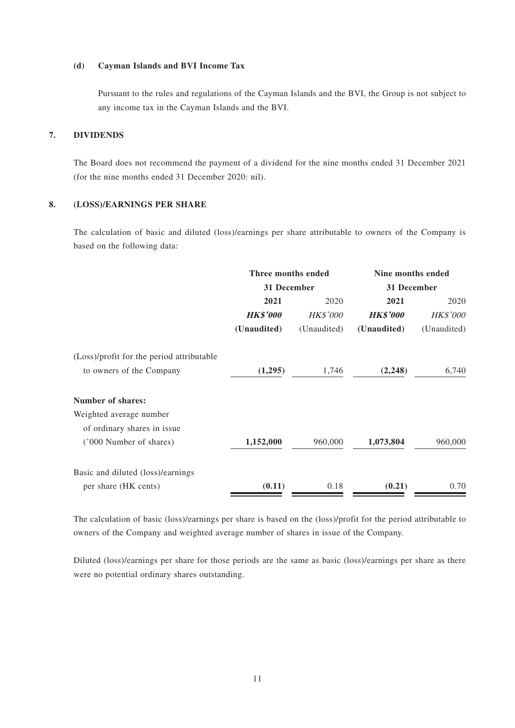#### **(d) Cayman Islands and BVI Income Tax**

Pursuant to the rules and regulations of the Cayman Islands and the BVI, the Group is not subject to any income tax in the Cayman Islands and the BVI.

#### **7. DIVIDENDS**

The Board does not recommend the payment of a dividend for the nine months ended 31 December 2021 (for the nine months ended 31 December 2020: nil).

#### **8. (LOSS)/EARNINGS PER SHARE**

The calculation of basic and diluted (loss)/earnings per share attributable to owners of the Company is based on the following data:

| Nine months ended |  |
|-------------------|--|
| 31 December       |  |
| 2020              |  |
| <b>HK\$'000</b>   |  |
| (Unaudited)       |  |
|                   |  |
| 6,740             |  |
|                   |  |
|                   |  |
|                   |  |
| 960,000           |  |
|                   |  |
| 0.70              |  |
|                   |  |

The calculation of basic (loss)/earnings per share is based on the (loss)/profit for the period attributable to owners of the Company and weighted average number of shares in issue of the Company.

Diluted (loss)/earnings per share for those periods are the same as basic (loss)/earnings per share as there were no potential ordinary shares outstanding.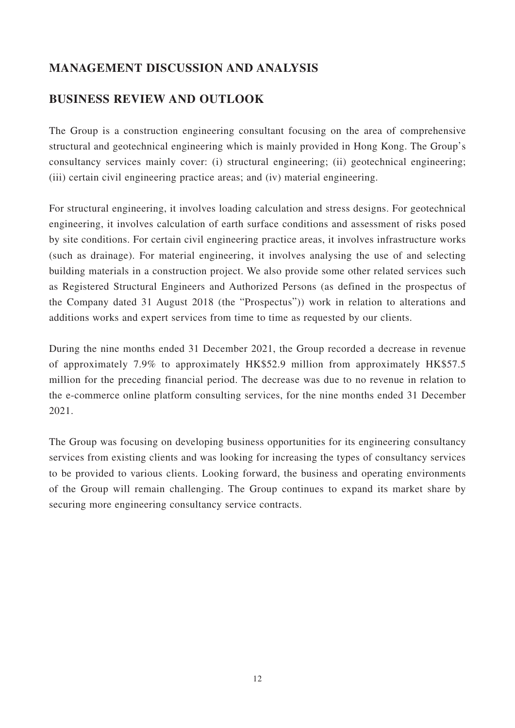## **MANAGEMENT DISCUSSION AND ANALYSIS**

## **BUSINESS REVIEW AND OUTLOOK**

The Group is a construction engineering consultant focusing on the area of comprehensive structural and geotechnical engineering which is mainly provided in Hong Kong. The Group's consultancy services mainly cover: (i) structural engineering; (ii) geotechnical engineering; (iii) certain civil engineering practice areas; and (iv) material engineering.

For structural engineering, it involves loading calculation and stress designs. For geotechnical engineering, it involves calculation of earth surface conditions and assessment of risks posed by site conditions. For certain civil engineering practice areas, it involves infrastructure works (such as drainage). For material engineering, it involves analysing the use of and selecting building materials in a construction project. We also provide some other related services such as Registered Structural Engineers and Authorized Persons (as defined in the prospectus of the Company dated 31 August 2018 (the "Prospectus")) work in relation to alterations and additions works and expert services from time to time as requested by our clients.

During the nine months ended 31 December 2021, the Group recorded a decrease in revenue of approximately 7.9% to approximately HK\$52.9 million from approximately HK\$57.5 million for the preceding financial period. The decrease was due to no revenue in relation to the e-commerce online platform consulting services, for the nine months ended 31 December 2021.

The Group was focusing on developing business opportunities for its engineering consultancy services from existing clients and was looking for increasing the types of consultancy services to be provided to various clients. Looking forward, the business and operating environments of the Group will remain challenging. The Group continues to expand its market share by securing more engineering consultancy service contracts.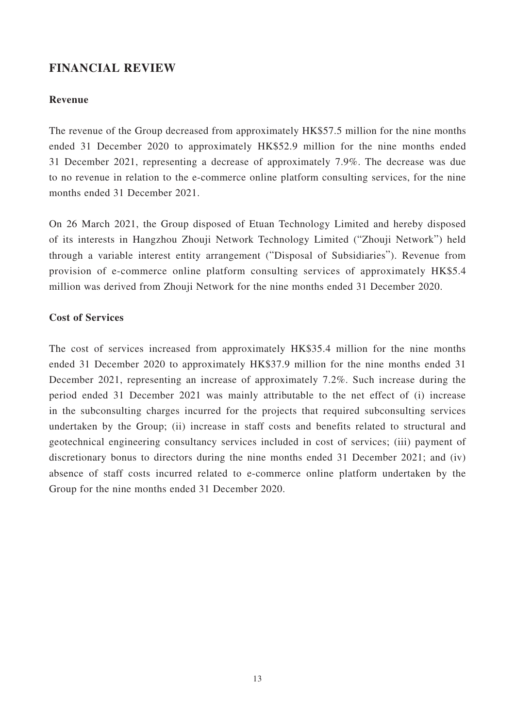### **FINANCIAL REVIEW**

### **Revenue**

The revenue of the Group decreased from approximately HK\$57.5 million for the nine months ended 31 December 2020 to approximately HK\$52.9 million for the nine months ended 31 December 2021, representing a decrease of approximately 7.9%. The decrease was due to no revenue in relation to the e-commerce online platform consulting services, for the nine months ended 31 December 2021.

On 26 March 2021, the Group disposed of Etuan Technology Limited and hereby disposed of its interests in Hangzhou Zhouji Network Technology Limited ("Zhouji Network") held through a variable interest entity arrangement ("Disposal of Subsidiaries"). Revenue from provision of e-commerce online platform consulting services of approximately HK\$5.4 million was derived from Zhouji Network for the nine months ended 31 December 2020.

### **Cost of Services**

The cost of services increased from approximately HK\$35.4 million for the nine months ended 31 December 2020 to approximately HK\$37.9 million for the nine months ended 31 December 2021, representing an increase of approximately 7.2%. Such increase during the period ended 31 December 2021 was mainly attributable to the net effect of (i) increase in the subconsulting charges incurred for the projects that required subconsulting services undertaken by the Group; (ii) increase in staff costs and benefits related to structural and geotechnical engineering consultancy services included in cost of services; (iii) payment of discretionary bonus to directors during the nine months ended 31 December 2021; and (iv) absence of staff costs incurred related to e-commerce online platform undertaken by the Group for the nine months ended 31 December 2020.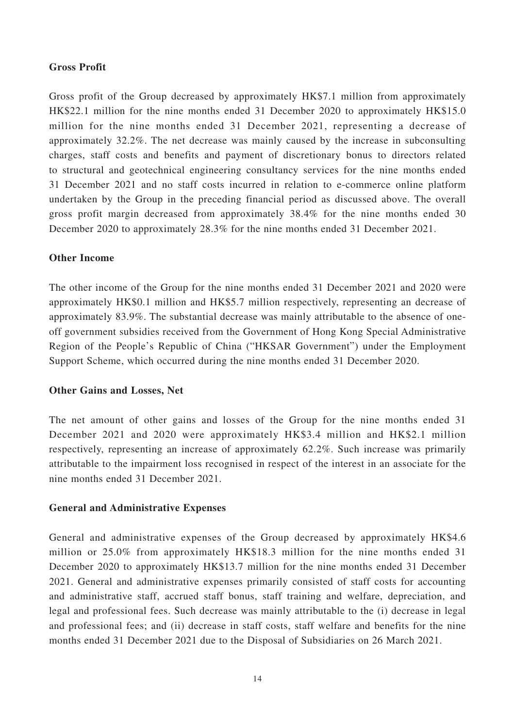### **Gross Profit**

Gross profit of the Group decreased by approximately HK\$7.1 million from approximately HK\$22.1 million for the nine months ended 31 December 2020 to approximately HK\$15.0 million for the nine months ended 31 December 2021, representing a decrease of approximately 32.2%. The net decrease was mainly caused by the increase in subconsulting charges, staff costs and benefits and payment of discretionary bonus to directors related to structural and geotechnical engineering consultancy services for the nine months ended 31 December 2021 and no staff costs incurred in relation to e-commerce online platform undertaken by the Group in the preceding financial period as discussed above. The overall gross profit margin decreased from approximately 38.4% for the nine months ended 30 December 2020 to approximately 28.3% for the nine months ended 31 December 2021.

### **Other Income**

The other income of the Group for the nine months ended 31 December 2021 and 2020 were approximately HK\$0.1 million and HK\$5.7 million respectively, representing an decrease of approximately 83.9%. The substantial decrease was mainly attributable to the absence of oneoff government subsidies received from the Government of Hong Kong Special Administrative Region of the People's Republic of China ("HKSAR Government") under the Employment Support Scheme, which occurred during the nine months ended 31 December 2020.

### **Other Gains and Losses, Net**

The net amount of other gains and losses of the Group for the nine months ended 31 December 2021 and 2020 were approximately HK\$3.4 million and HK\$2.1 million respectively, representing an increase of approximately 62.2%. Such increase was primarily attributable to the impairment loss recognised in respect of the interest in an associate for the nine months ended 31 December 2021.

### **General and Administrative Expenses**

General and administrative expenses of the Group decreased by approximately HK\$4.6 million or 25.0% from approximately HK\$18.3 million for the nine months ended 31 December 2020 to approximately HK\$13.7 million for the nine months ended 31 December 2021. General and administrative expenses primarily consisted of staff costs for accounting and administrative staff, accrued staff bonus, staff training and welfare, depreciation, and legal and professional fees. Such decrease was mainly attributable to the (i) decrease in legal and professional fees; and (ii) decrease in staff costs, staff welfare and benefits for the nine months ended 31 December 2021 due to the Disposal of Subsidiaries on 26 March 2021.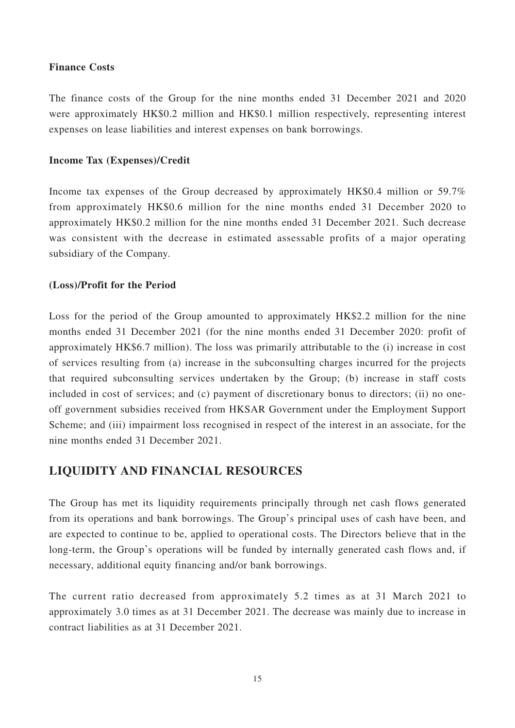### **Finance Costs**

The finance costs of the Group for the nine months ended 31 December 2021 and 2020 were approximately HK\$0.2 million and HK\$0.1 million respectively, representing interest expenses on lease liabilities and interest expenses on bank borrowings.

### **Income Tax (Expenses)/Credit**

Income tax expenses of the Group decreased by approximately HK\$0.4 million or 59.7% from approximately HK\$0.6 million for the nine months ended 31 December 2020 to approximately HK\$0.2 million for the nine months ended 31 December 2021. Such decrease was consistent with the decrease in estimated assessable profits of a major operating subsidiary of the Company.

### **(Loss)/Profit for the Period**

Loss for the period of the Group amounted to approximately HK\$2.2 million for the nine months ended 31 December 2021 (for the nine months ended 31 December 2020: profit of approximately HK\$6.7 million). The loss was primarily attributable to the (i) increase in cost of services resulting from (a) increase in the subconsulting charges incurred for the projects that required subconsulting services undertaken by the Group; (b) increase in staff costs included in cost of services; and (c) payment of discretionary bonus to directors; (ii) no oneoff government subsidies received from HKSAR Government under the Employment Support Scheme; and (iii) impairment loss recognised in respect of the interest in an associate, for the nine months ended 31 December 2021.

### **LIQUIDITY AND FINANCIAL RESOURCES**

The Group has met its liquidity requirements principally through net cash flows generated from its operations and bank borrowings. The Group's principal uses of cash have been, and are expected to continue to be, applied to operational costs. The Directors believe that in the long-term, the Group's operations will be funded by internally generated cash flows and, if necessary, additional equity financing and/or bank borrowings.

The current ratio decreased from approximately 5.2 times as at 31 March 2021 to approximately 3.0 times as at 31 December 2021. The decrease was mainly due to increase in contract liabilities as at 31 December 2021.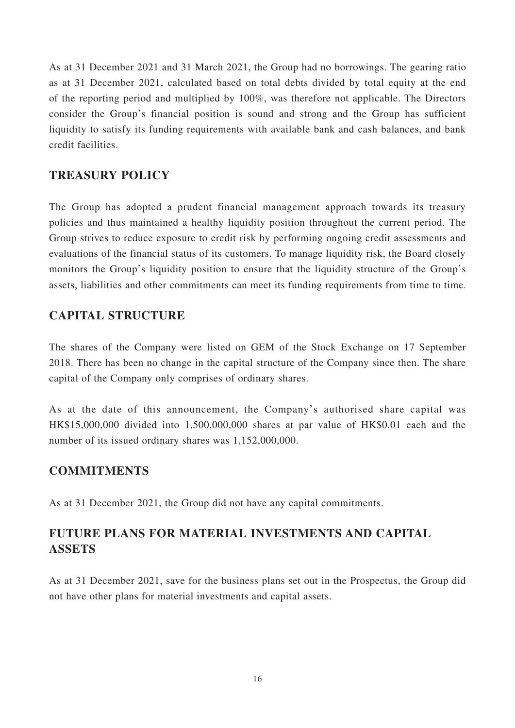As at 31 December 2021 and 31 March 2021, the Group had no borrowings. The gearing ratio as at 31 December 2021, calculated based on total debts divided by total equity at the end of the reporting period and multiplied by 100%, was therefore not applicable. The Directors consider the Group's financial position is sound and strong and the Group has sufficient liquidity to satisfy its funding requirements with available bank and cash balances, and bank credit facilities.

## **TREASURY POLICY**

The Group has adopted a prudent financial management approach towards its treasury policies and thus maintained a healthy liquidity position throughout the current period. The Group strives to reduce exposure to credit risk by performing ongoing credit assessments and evaluations of the financial status of its customers. To manage liquidity risk, the Board closely monitors the Group's liquidity position to ensure that the liquidity structure of the Group's assets, liabilities and other commitments can meet its funding requirements from time to time.

## **CAPITAL STRUCTURE**

The shares of the Company were listed on GEM of the Stock Exchange on 17 September 2018. There has been no change in the capital structure of the Company since then. The share capital of the Company only comprises of ordinary shares.

As at the date of this announcement, the Company's authorised share capital was HK\$15,000,000 divided into 1,500,000,000 shares at par value of HK\$0.01 each and the number of its issued ordinary shares was  $1,152,000,000$ .

### **COMMITMENTS**

As at 31 December 2021, the Group did not have any capital commitments.

## **FUTURE PLANS FOR MATERIAL INVESTMENTS AND CAPITAL ASSETS**

As at 31 December 2021, save for the business plans set out in the Prospectus, the Group did not have other plans for material investments and capital assets.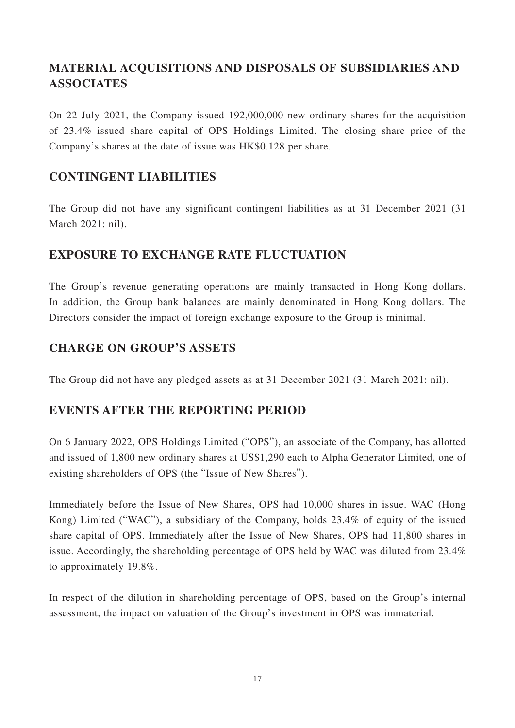# **MATERIAL ACQUISITIONS AND DISPOSALS OF SUBSIDIARIES AND ASSOCIATES**

On 22 July 2021, the Company issued 192,000,000 new ordinary shares for the acquisition of 23.4% issued share capital of OPS Holdings Limited. The closing share price of the Company's shares at the date of issue was HK\$0.128 per share.

## **CONTINGENT LIABILITIES**

The Group did not have any significant contingent liabilities as at 31 December 2021 (31 March 2021: nil).

## **EXPOSURE TO EXCHANGE RATE FLUCTUATION**

The Group's revenue generating operations are mainly transacted in Hong Kong dollars. In addition, the Group bank balances are mainly denominated in Hong Kong dollars. The Directors consider the impact of foreign exchange exposure to the Group is minimal.

## **CHARGE ON GROUP'S ASSETS**

The Group did not have any pledged assets as at 31 December 2021 (31 March 2021: nil).

## **EVENTS AFTER THE REPORTING PERIOD**

On 6 January 2022, OPS Holdings Limited ("OPS"), an associate of the Company, has allotted and issued of 1,800 new ordinary shares at US\$1,290 each to Alpha Generator Limited, one of existing shareholders of OPS (the "Issue of New Shares").

Immediately before the Issue of New Shares, OPS had 10,000 shares in issue. WAC (Hong Kong) Limited ("WAC"), a subsidiary of the Company, holds 23.4% of equity of the issued share capital of OPS. Immediately after the Issue of New Shares, OPS had 11,800 shares in issue. Accordingly, the shareholding percentage of OPS held by WAC was diluted from 23.4% to approximately 19.8%.

In respect of the dilution in shareholding percentage of OPS, based on the Group's internal assessment, the impact on valuation of the Group's investment in OPS was immaterial.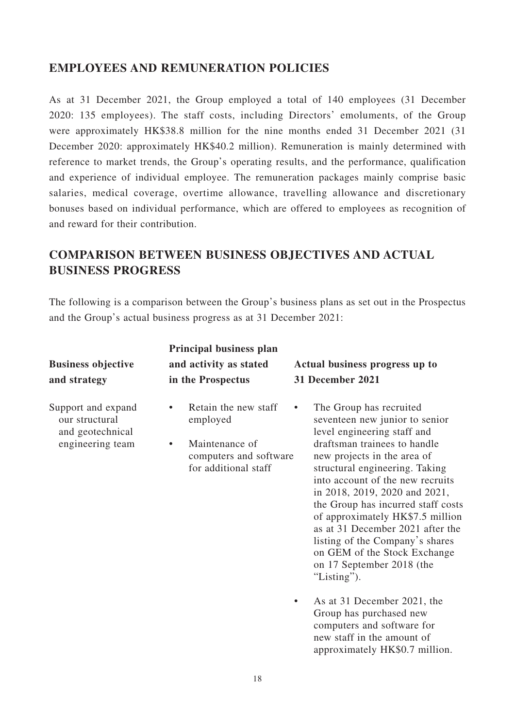## **EMPLOYEES AND REMUNERATION POLICIES**

As at 31 December 2021, the Group employed a total of 140 employees (31 December 2020: 135 employees). The staff costs, including Directors' emoluments, of the Group were approximately HK\$38.8 million for the nine months ended 31 December 2021 (31 December 2020: approximately HK\$40.2 million). Remuneration is mainly determined with reference to market trends, the Group's operating results, and the performance, qualification and experience of individual employee. The remuneration packages mainly comprise basic salaries, medical coverage, overtime allowance, travelling allowance and discretionary bonuses based on individual performance, which are offered to employees as recognition of and reward for their contribution.

# **COMPARISON BETWEEN BUSINESS OBJECTIVES AND ACTUAL BUSINESS PROGRESS**

The following is a comparison between the Group's business plans as set out in the Prospectus and the Group's actual business progress as at 31 December 2021:

|                                                                              | Principal business plan                                                                                   |                                                                                                                                                                                                                                                                                                                                                                                                                                                                                                                                                                                                                                                                               |  |  |
|------------------------------------------------------------------------------|-----------------------------------------------------------------------------------------------------------|-------------------------------------------------------------------------------------------------------------------------------------------------------------------------------------------------------------------------------------------------------------------------------------------------------------------------------------------------------------------------------------------------------------------------------------------------------------------------------------------------------------------------------------------------------------------------------------------------------------------------------------------------------------------------------|--|--|
| <b>Business objective</b>                                                    | and activity as stated                                                                                    | Actual business progress up to                                                                                                                                                                                                                                                                                                                                                                                                                                                                                                                                                                                                                                                |  |  |
| and strategy                                                                 | in the Prospectus                                                                                         | <b>31 December 2021</b>                                                                                                                                                                                                                                                                                                                                                                                                                                                                                                                                                                                                                                                       |  |  |
| Support and expand<br>our structural<br>and geotechnical<br>engineering team | Retain the new staff<br>employed<br>Maintenance of<br>٠<br>computers and software<br>for additional staff | The Group has recruited<br>$\bullet$<br>seventeen new junior to senior<br>level engineering staff and<br>draftsman trainees to handle<br>new projects in the area of<br>structural engineering. Taking<br>into account of the new recruits<br>in 2018, 2019, 2020 and 2021,<br>the Group has incurred staff costs<br>of approximately HK\$7.5 million<br>as at 31 December 2021 after the<br>listing of the Company's shares<br>on GEM of the Stock Exchange<br>on 17 September 2018 (the<br>"Listing").<br>As at 31 December 2021, the<br>$\bullet$<br>Group has purchased new<br>computers and software for<br>new staff in the amount of<br>approximately HK\$0.7 million. |  |  |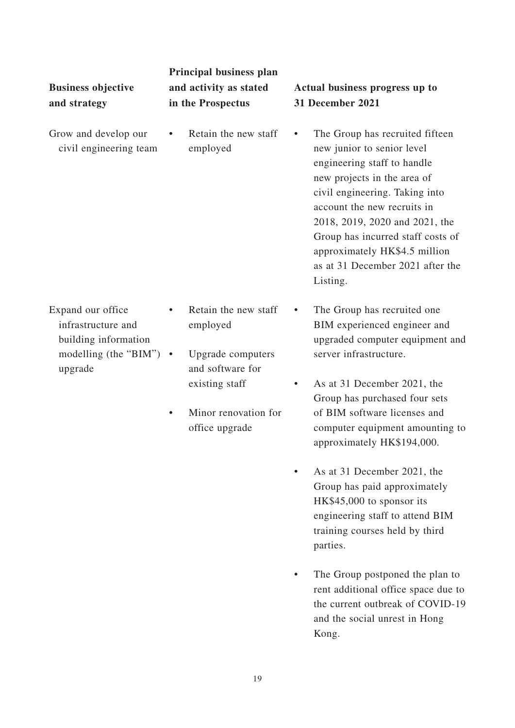| <b>Business objective</b><br>and strategy                                                                   | Principal business plan<br>and activity as stated<br>in the Prospectus    | Actual business progress up to<br><b>31 December 2021</b>                                                                                                                                                                                                                                                                                                         |  |  |
|-------------------------------------------------------------------------------------------------------------|---------------------------------------------------------------------------|-------------------------------------------------------------------------------------------------------------------------------------------------------------------------------------------------------------------------------------------------------------------------------------------------------------------------------------------------------------------|--|--|
| Grow and develop our<br>civil engineering team                                                              | Retain the new staff<br>٠<br>employed                                     | The Group has recruited fifteen<br>$\bullet$<br>new junior to senior level<br>engineering staff to handle<br>new projects in the area of<br>civil engineering. Taking into<br>account the new recruits in<br>2018, 2019, 2020 and 2021, the<br>Group has incurred staff costs of<br>approximately HK\$4.5 million<br>as at 31 December 2021 after the<br>Listing. |  |  |
| Expand our office<br>infrastructure and<br>building information<br>modelling (the "BIM") $\cdot$<br>upgrade | Retain the new staff<br>employed<br>Upgrade computers<br>and software for | The Group has recruited one<br>$\bullet$<br>BIM experienced engineer and<br>upgraded computer equipment and<br>server infrastructure.                                                                                                                                                                                                                             |  |  |
|                                                                                                             | existing staff<br>Minor renovation for<br>office upgrade                  | As at 31 December 2021, the<br>$\bullet$<br>Group has purchased four sets<br>of BIM software licenses and<br>computer equipment amounting to<br>approximately HK\$194,000.                                                                                                                                                                                        |  |  |
|                                                                                                             |                                                                           | As at 31 December 2021, the                                                                                                                                                                                                                                                                                                                                       |  |  |

- Group has paid approximately HK\$45,000 to sponsor its engineering staff to attend BIM training courses held by third parties.
- The Group postponed the plan to rent additional office space due to the current outbreak of COVID-19 and the social unrest in Hong Kong.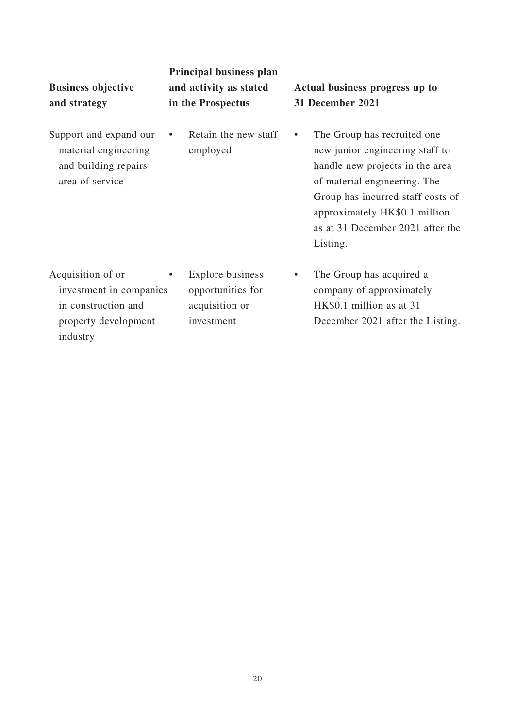| <b>Business objective</b><br>and strategy                                                   | Principal business plan<br>and activity as stated<br>in the Prospectus     | Actual business progress up to<br>31 December 2021                                                                                                                                                                                                                   |  |  |
|---------------------------------------------------------------------------------------------|----------------------------------------------------------------------------|----------------------------------------------------------------------------------------------------------------------------------------------------------------------------------------------------------------------------------------------------------------------|--|--|
| Support and expand our<br>material engineering<br>and building repairs<br>area of service   | Retain the new staff<br>$\bullet$<br>employed                              | The Group has recruited one<br>$\bullet$<br>new junior engineering staff to<br>handle new projects in the area<br>of material engineering. The<br>Group has incurred staff costs of<br>approximately HK\$0.1 million<br>as at 31 December 2021 after the<br>Listing. |  |  |
| Acquisition of or<br>investment in companies<br>in construction and<br>property development | Explore business<br>٠<br>opportunities for<br>acquisition or<br>investment | The Group has acquired a<br>$\bullet$<br>company of approximately<br>HK\$0.1 million as at 31<br>December 2021 after the Listing.                                                                                                                                    |  |  |

industry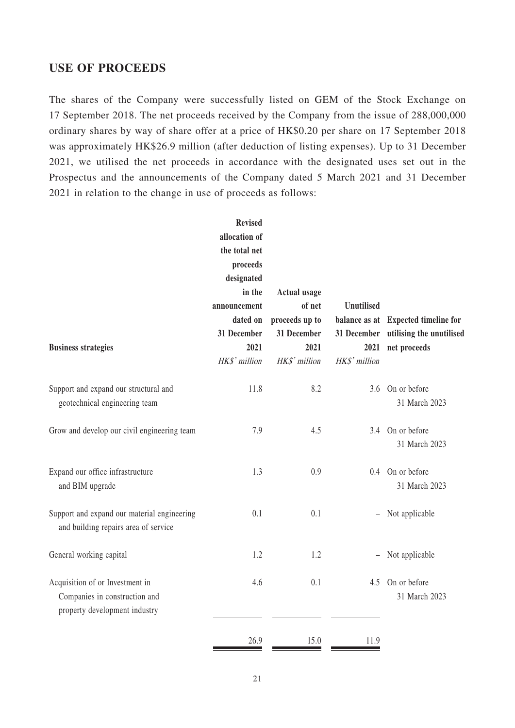### **USE OF PROCEEDS**

The shares of the Company were successfully listed on GEM of the Stock Exchange on 17 September 2018. The net proceeds received by the Company from the issue of 288,000,000 ordinary shares by way of share offer at a price of HK\$0.20 per share on 17 September 2018 was approximately HK\$26.9 million (after deduction of listing expenses). Up to 31 December 2021, we utilised the net proceeds in accordance with the designated uses set out in the Prospectus and the announcements of the Company dated 5 March 2021 and 31 December 2021 in relation to the change in use of proceeds as follows:

|                                                                                                   | <b>Revised</b><br>allocation of<br>the total net<br>proceeds<br>designated<br>in the<br>announcement<br>dated on | <b>Actual usage</b><br>of net<br>proceeds up to | <b>Unutilised</b>        | balance as at Expected timeline for                  |
|---------------------------------------------------------------------------------------------------|------------------------------------------------------------------------------------------------------------------|-------------------------------------------------|--------------------------|------------------------------------------------------|
| <b>Business strategies</b>                                                                        | 31 December<br>2021<br>HK\$' million                                                                             | 31 December<br>2021<br>HK\$' million            | 2021<br>HK\$' million    | 31 December utilising the unutilised<br>net proceeds |
| Support and expand our structural and<br>geotechnical engineering team                            | 11.8                                                                                                             | 8.2                                             |                          | 3.6 On or before<br>31 March 2023                    |
| Grow and develop our civil engineering team                                                       | 7.9                                                                                                              | 4.5                                             |                          | 3.4 On or before<br>31 March 2023                    |
| Expand our office infrastructure<br>and BIM upgrade                                               | 1.3                                                                                                              | 0.9                                             |                          | 0.4 On or before<br>31 March 2023                    |
| Support and expand our material engineering<br>and building repairs area of service               | 0.1                                                                                                              | 0.1                                             | $\overline{\phantom{0}}$ | Not applicable                                       |
| General working capital                                                                           | 1.2                                                                                                              | 1.2                                             | $\overline{\phantom{0}}$ | Not applicable                                       |
| Acquisition of or Investment in<br>Companies in construction and<br>property development industry | 4.6                                                                                                              | 0.1                                             | 4.5                      | On or before<br>31 March 2023                        |
|                                                                                                   | 26.9                                                                                                             | 15.0                                            | 11.9                     |                                                      |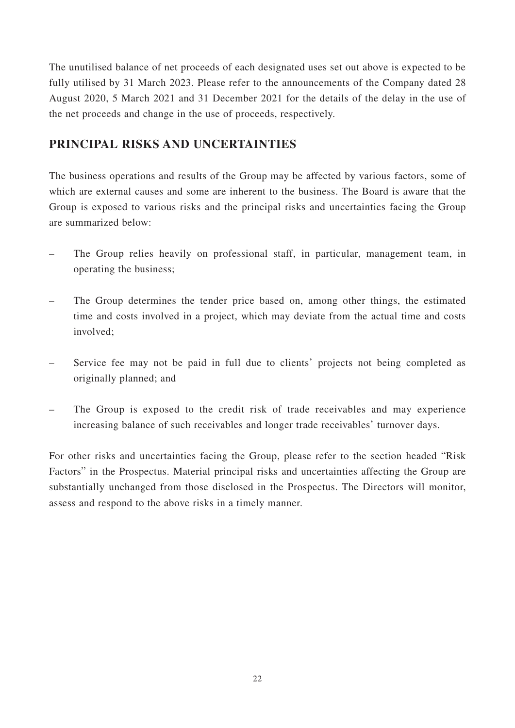The unutilised balance of net proceeds of each designated uses set out above is expected to be fully utilised by 31 March 2023. Please refer to the announcements of the Company dated 28 August 2020, 5 March 2021 and 31 December 2021 for the details of the delay in the use of the net proceeds and change in the use of proceeds, respectively.

## **PRINCIPAL RISKS AND UNCERTAINTIES**

The business operations and results of the Group may be affected by various factors, some of which are external causes and some are inherent to the business. The Board is aware that the Group is exposed to various risks and the principal risks and uncertainties facing the Group are summarized below:

- The Group relies heavily on professional staff, in particular, management team, in operating the business;
- The Group determines the tender price based on, among other things, the estimated time and costs involved in a project, which may deviate from the actual time and costs involved;
- Service fee may not be paid in full due to clients' projects not being completed as originally planned; and
- The Group is exposed to the credit risk of trade receivables and may experience increasing balance of such receivables and longer trade receivables' turnover days.

For other risks and uncertainties facing the Group, please refer to the section headed "Risk Factors" in the Prospectus. Material principal risks and uncertainties affecting the Group are substantially unchanged from those disclosed in the Prospectus. The Directors will monitor, assess and respond to the above risks in a timely manner.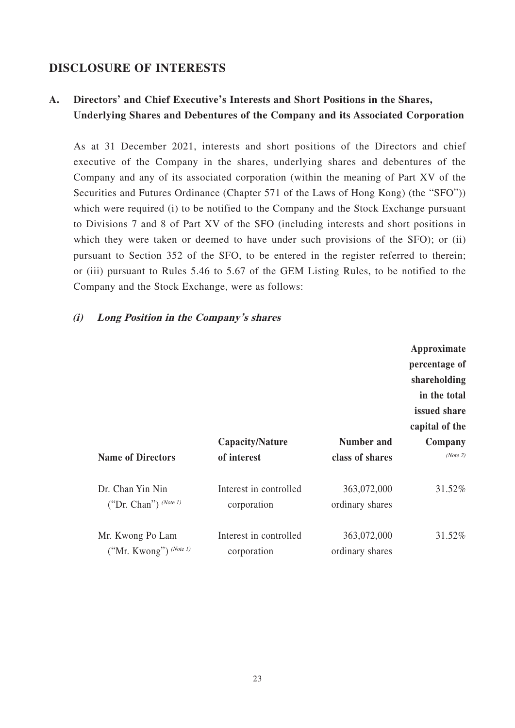### **DISCLOSURE OF INTERESTS**

## **A. Directors' and Chief Executive's Interests and Short Positions in the Shares, Underlying Shares and Debentures of the Company and its Associated Corporation**

As at 31 December 2021, interests and short positions of the Directors and chief executive of the Company in the shares, underlying shares and debentures of the Company and any of its associated corporation (within the meaning of Part XV of the Securities and Futures Ordinance (Chapter 571 of the Laws of Hong Kong) (the "SFO")) which were required (i) to be notified to the Company and the Stock Exchange pursuant to Divisions 7 and 8 of Part XV of the SFO (including interests and short positions in which they were taken or deemed to have under such provisions of the SFO); or (ii) pursuant to Section 352 of the SFO, to be entered in the register referred to therein; or (iii) pursuant to Rules 5.46 to 5.67 of the GEM Listing Rules, to be notified to the Company and the Stock Exchange, were as follows:

### **(i) Long Position in the Company's shares**

|                                              |                                       |                                | Approximate<br>percentage of<br>shareholding<br>in the total<br>issued share<br>capital of the |
|----------------------------------------------|---------------------------------------|--------------------------------|------------------------------------------------------------------------------------------------|
|                                              | Capacity/Nature                       | <b>Number and</b>              | Company                                                                                        |
| <b>Name of Directors</b>                     | of interest                           | class of shares                | (Note 2)                                                                                       |
| Dr. Chan Yin Nin<br>("Dr. Chan") $(Note 1)$  | Interest in controlled<br>corporation | 363,072,000<br>ordinary shares | 31.52%                                                                                         |
| Mr. Kwong Po Lam<br>("Mr. Kwong") $(Note 1)$ | Interest in controlled<br>corporation | 363,072,000<br>ordinary shares | 31.52%                                                                                         |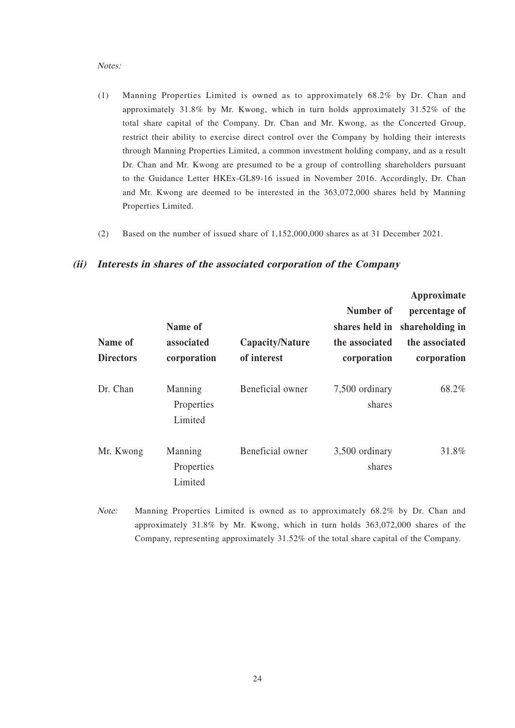#### Notes:

- (1) Manning Properties Limited is owned as to approximately 68.2% by Dr. Chan and approximately 31.8% by Mr. Kwong, which in turn holds approximately 31.52% of the total share capital of the Company. Dr. Chan and Mr. Kwong, as the Concerted Group, restrict their ability to exercise direct control over the Company by holding their interests through Manning Properties Limited, a common investment holding company, and as a result Dr. Chan and Mr. Kwong are presumed to be a group of controlling shareholders pursuant to the Guidance Letter HKEx-GL89-16 issued in November 2016. Accordingly, Dr. Chan and Mr. Kwong are deemed to be interested in the 363,072,000 shares held by Manning Properties Limited.
- (2) Based on the number of issued share of 1,152,000,000 shares as at 31 December 2021.

|                             |                                      |                                |                                                              | Approximate                                                       |  |
|-----------------------------|--------------------------------------|--------------------------------|--------------------------------------------------------------|-------------------------------------------------------------------|--|
| Name of<br><b>Directors</b> | Name of<br>associated<br>corporation | Capacity/Nature<br>of interest | Number of<br>shares held in<br>the associated<br>corporation | percentage of<br>shareholding in<br>the associated<br>corporation |  |
| Dr. Chan                    | Manning<br>Properties<br>Limited     | Beneficial owner               | 7,500 ordinary<br>shares                                     | 68.2%                                                             |  |
| Mr. Kwong                   | Manning<br>Properties<br>Limited     | Beneficial owner               | 3,500 ordinary<br>shares                                     | 31.8%                                                             |  |

#### **(ii) Interests in shares of the associated corporation of the Company**

Note: Manning Properties Limited is owned as to approximately 68.2% by Dr. Chan and approximately 31.8% by Mr. Kwong, which in turn holds 363,072,000 shares of the Company, representing approximately 31.52% of the total share capital of the Company.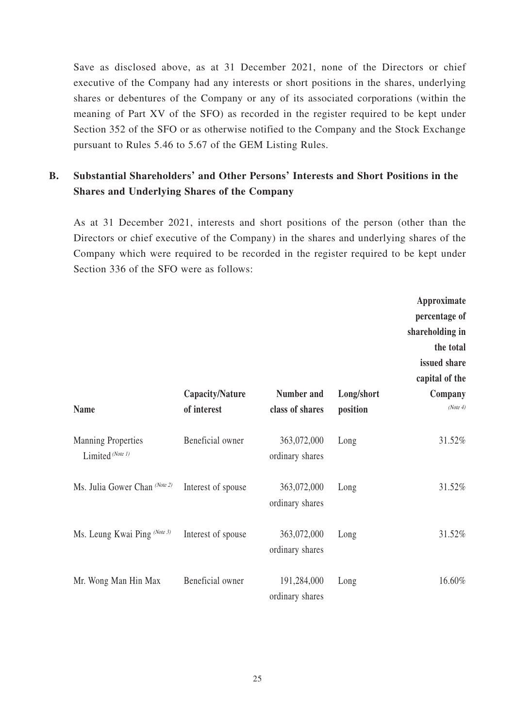Save as disclosed above, as at 31 December 2021, none of the Directors or chief executive of the Company had any interests or short positions in the shares, underlying shares or debentures of the Company or any of its associated corporations (within the meaning of Part XV of the SFO) as recorded in the register required to be kept under Section 352 of the SFO or as otherwise notified to the Company and the Stock Exchange pursuant to Rules 5.46 to 5.67 of the GEM Listing Rules.

## **B. Substantial Shareholders' and Other Persons' Interests and Short Positions in the Shares and Underlying Shares of the Company**

As at 31 December 2021, interests and short positions of the person (other than the Directors or chief executive of the Company) in the shares and underlying shares of the Company which were required to be recorded in the register required to be kept under Section 336 of the SFO were as follows:

|                                               |                                |                                |                        | Approximate<br>percentage of<br>shareholding in<br>the total<br>issued share<br>capital of the |
|-----------------------------------------------|--------------------------------|--------------------------------|------------------------|------------------------------------------------------------------------------------------------|
| <b>Name</b>                                   | Capacity/Nature<br>of interest | Number and<br>class of shares  | Long/short<br>position | Company<br>(Note 4)                                                                            |
| <b>Manning Properties</b><br>Limited (Note 1) | Beneficial owner               | 363,072,000<br>ordinary shares | Long                   | 31.52%                                                                                         |
| Ms. Julia Gower Chan (Note 2)                 | Interest of spouse             | 363,072,000<br>ordinary shares | Long                   | 31.52%                                                                                         |
| Ms. Leung Kwai Ping (Note 3)                  | Interest of spouse             | 363,072,000<br>ordinary shares | Long                   | 31.52%                                                                                         |
| Mr. Wong Man Hin Max                          | Beneficial owner               | 191,284,000<br>ordinary shares | Long                   | 16.60%                                                                                         |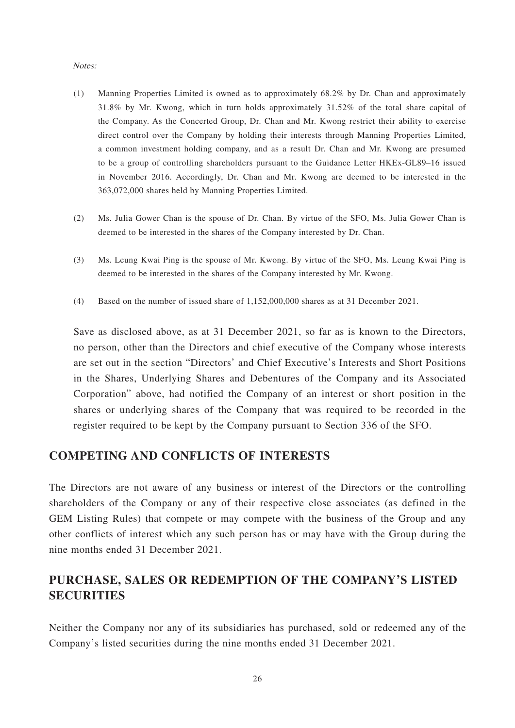#### Notes:

- (1) Manning Properties Limited is owned as to approximately 68.2% by Dr. Chan and approximately 31.8% by Mr. Kwong, which in turn holds approximately 31.52% of the total share capital of the Company. As the Concerted Group, Dr. Chan and Mr. Kwong restrict their ability to exercise direct control over the Company by holding their interests through Manning Properties Limited, a common investment holding company, and as a result Dr. Chan and Mr. Kwong are presumed to be a group of controlling shareholders pursuant to the Guidance Letter HKEx-GL89–16 issued in November 2016. Accordingly, Dr. Chan and Mr. Kwong are deemed to be interested in the 363,072,000 shares held by Manning Properties Limited.
- (2) Ms. Julia Gower Chan is the spouse of Dr. Chan. By virtue of the SFO, Ms. Julia Gower Chan is deemed to be interested in the shares of the Company interested by Dr. Chan.
- (3) Ms. Leung Kwai Ping is the spouse of Mr. Kwong. By virtue of the SFO, Ms. Leung Kwai Ping is deemed to be interested in the shares of the Company interested by Mr. Kwong.
- (4) Based on the number of issued share of 1,152,000,000 shares as at 31 December 2021.

Save as disclosed above, as at 31 December 2021, so far as is known to the Directors, no person, other than the Directors and chief executive of the Company whose interests are set out in the section "Directors' and Chief Executive's Interests and Short Positions in the Shares, Underlying Shares and Debentures of the Company and its Associated Corporation" above, had notified the Company of an interest or short position in the shares or underlying shares of the Company that was required to be recorded in the register required to be kept by the Company pursuant to Section 336 of the SFO.

### **COMPETING AND CONFLICTS OF INTERESTS**

The Directors are not aware of any business or interest of the Directors or the controlling shareholders of the Company or any of their respective close associates (as defined in the GEM Listing Rules) that compete or may compete with the business of the Group and any other conflicts of interest which any such person has or may have with the Group during the nine months ended 31 December 2021.

## **PURCHASE, SALES OR REDEMPTION OF THE COMPANY'S LISTED SECURITIES**

Neither the Company nor any of its subsidiaries has purchased, sold or redeemed any of the Company's listed securities during the nine months ended 31 December 2021.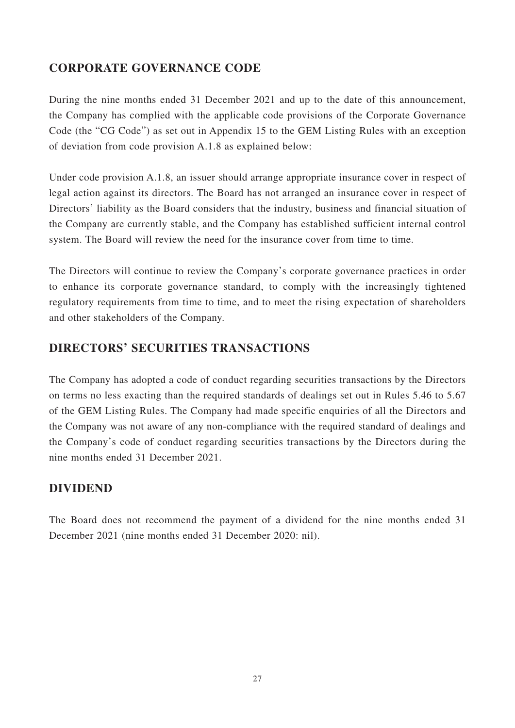## **CORPORATE GOVERNANCE CODE**

During the nine months ended 31 December 2021 and up to the date of this announcement, the Company has complied with the applicable code provisions of the Corporate Governance Code (the "CG Code") as set out in Appendix 15 to the GEM Listing Rules with an exception of deviation from code provision A.1.8 as explained below:

Under code provision A.1.8, an issuer should arrange appropriate insurance cover in respect of legal action against its directors. The Board has not arranged an insurance cover in respect of Directors' liability as the Board considers that the industry, business and financial situation of the Company are currently stable, and the Company has established sufficient internal control system. The Board will review the need for the insurance cover from time to time.

The Directors will continue to review the Company's corporate governance practices in order to enhance its corporate governance standard, to comply with the increasingly tightened regulatory requirements from time to time, and to meet the rising expectation of shareholders and other stakeholders of the Company.

## **DIRECTORS' SECURITIES TRANSACTIONS**

The Company has adopted a code of conduct regarding securities transactions by the Directors on terms no less exacting than the required standards of dealings set out in Rules 5.46 to 5.67 of the GEM Listing Rules. The Company had made specific enquiries of all the Directors and the Company was not aware of any non-compliance with the required standard of dealings and the Company's code of conduct regarding securities transactions by the Directors during the nine months ended 31 December 2021.

## **DIVIDEND**

The Board does not recommend the payment of a dividend for the nine months ended 31 December 2021 (nine months ended 31 December 2020: nil).